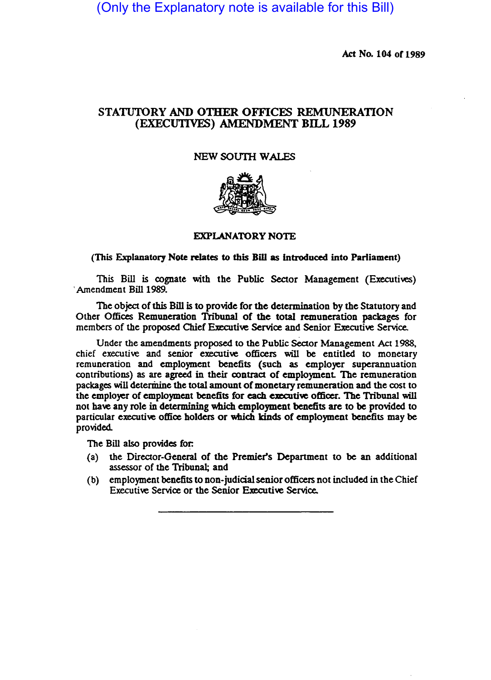(Only the Explanatory note is available for this Bill)

Act No. 104 of 1989

# STATUTORY AND OTHER OFFICES REMUNERATION (EXECUTIVES) AMENDMENT BILL 1989

## NEW SOUTH WALES



### EXPLANATORY NOTE

#### (This Explanatory Note relates to this Bill as introduced into Parliament)

This Bill is cognate with the Public Sector Management (Executives) 'Amendment Bill 1989.

The object of this Bill is to provide for the determination by the Statutory and Other Offices Remuneration Tribunal of the total remuneration packages for members of the proposed Chief Executive Service and Senior Executive Service.

Under the amendments proposed to the Public Sector Management Act 1988, chief executive and senior executive officers will be entitled to monetary remuneration and employment benefits (such as employer superannuation contributions) as are agreed in their contract of employmenL The remuneration packages will determine the total amount of monetary remuneration and the cost to the employer of employment benefits for each executive officer. The Tribunal will not have any role in determining which employment benefits are to be provided to particular executive office holders or which kinds of employment benefits may be provided.

The Bill also provides for:

- (a) the Director-General of the Premier's Department to be an additional assessor of the Tribunal; and
- (b) employment benefits to non-judicial senior officers not included in the Chief Executive Service or the Senior Executive Service.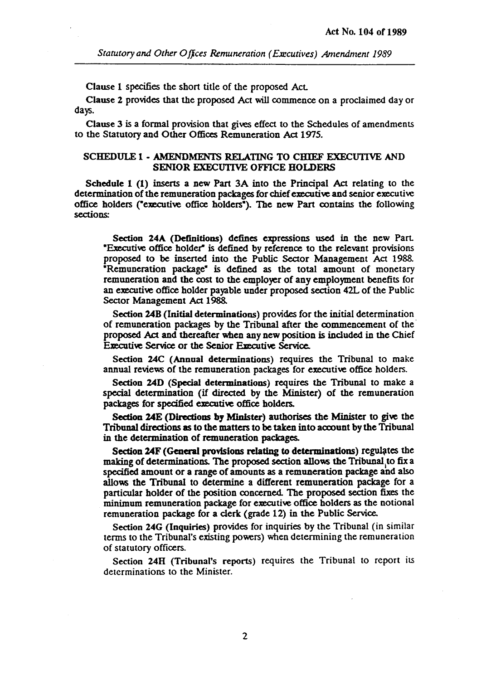Clause 1 specifies the short title of the proposed Act.

Clause 2 provides that the proposed Act will commence on a proclaimed day or days.

Clause 3 is a formal provision that gives effect to the Schedules of amendments to the Statutory and Other Offices Remuneration Act 1975.

## SCHEDULE 1 • AMENDMENTS RELATING TO CHIEF EXECUTIVE AND SENIOR EXECUTIVE OFFlCE HOLDERS

Schedule 1 (1) inserts a new Part 3A into the Principal Act relating to the determination of the remuneration packages for chief executive and senior executive office holders ("executive office holders"). The new Part contains the following sections:

Section 24A (Definitions) defines expressions used in the new Part -Executive office holder" is defined by reference to the relevant provisions proposed to be inserted into the Public Sector Management Act 1988. -Remuneration package- is defined as the total amount of monetary remuneration and the cost to the employer of any employment benefits for an executive office holder payable under proposed section 42L of the Public Sector Management Act 1988.

Section 24B (Initial determinations) provides for the initial determination of remuneration packages by the Tribunal after the commencement of the· proposed Act and thereafter when any new position is included in the Chief Executive Service or the Senior Executive Service.

Section 24C (Annual determinations) requires the Tribunal to make annual reviews of the remuneration packages for executive office holders.

Section 24D (Special determinations) requires the Tribunal to make a special determination (if directed by the Minister) of the remuneration packages for specified executive office holders.

Section 24E (Directions by Minister) authorises the Minister to give the Tribunal directions as to the matters to be taken into account by the Tribunal in the determination of remuneration packages.

Section 24F (General provisions relating to determinations) regulates the making of determinations. The proposed section allows the Tribunal ,to fix a specified amount or a range of amounts as a remuneration package and also allows the Tribunal to determine a different remuneration package for a particular holder of the position concerned. The proposed section fixes the minimum remuneration package for executive office holders as the notional remuneration package for a clerk (grade 12) in the Public Service.

Section 24G (Inquiries) provides for inquiries by the Tribunal (in similar terms to the Tribunal'S existing powers) when determining the remuneration of statutory officers.

Section 24H (Tribunal's reports) requires the Tribunal to report its determinations to the Minister.